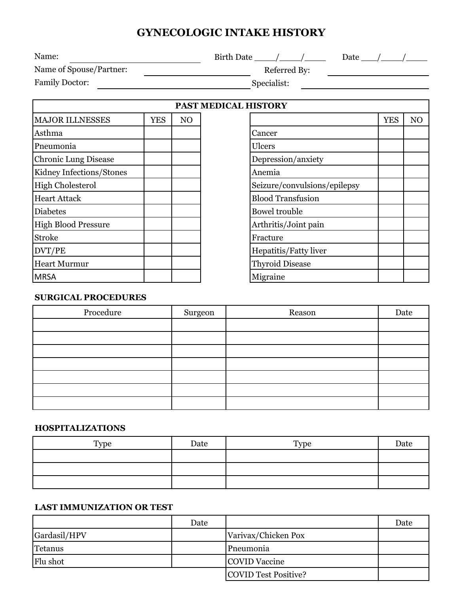# **GYNECOLOGIC INTAKE HISTORY**

| Birth Date / /<br>Date                  |    |  |  |  |                      |            |                |
|-----------------------------------------|----|--|--|--|----------------------|------------|----------------|
| Name of Spouse/Partner:<br>Referred By: |    |  |  |  |                      |            |                |
| Specialist:                             |    |  |  |  |                      |            |                |
|                                         |    |  |  |  |                      |            |                |
| <b>YES</b>                              | NO |  |  |  |                      | <b>YES</b> | N <sub>O</sub> |
|                                         |    |  |  |  | PAST MEDICAL HISTORY |            |                |

| <b>MAJOR ILLNESSES</b>      | YES | NO |
|-----------------------------|-----|----|
| Asthma                      |     |    |
| Pneumonia                   |     |    |
| <b>Chronic Lung Disease</b> |     |    |
| Kidney Infections/Stones    |     |    |
| <b>High Cholesterol</b>     |     |    |
| <b>Heart Attack</b>         |     |    |
| <b>Diabetes</b>             |     |    |
| <b>High Blood Pressure</b>  |     |    |
| <b>Stroke</b>               |     |    |
| DVT/PE                      |     |    |
| <b>Heart Murmur</b>         |     |    |
| <b>MRSA</b>                 |     |    |

| HISTORY                      |            |                |
|------------------------------|------------|----------------|
|                              | <b>YES</b> | N <sub>O</sub> |
| Cancer                       |            |                |
| Ulcers                       |            |                |
| Depression/anxiety           |            |                |
| Anemia                       |            |                |
| Seizure/convulsions/epilepsy |            |                |
| <b>Blood Transfusion</b>     |            |                |
| <b>Bowel trouble</b>         |            |                |
| Arthritis/Joint pain         |            |                |
| Fracture                     |            |                |
| Hepatitis/Fatty liver        |            |                |
| <b>Thyroid Disease</b>       |            |                |
| Migraine                     |            |                |

## **SURGICAL PROCEDURES**

| Procedure | Surgeon | Reason | Date |
|-----------|---------|--------|------|
|           |         |        |      |
|           |         |        |      |
|           |         |        |      |
|           |         |        |      |
|           |         |        |      |
|           |         |        |      |
|           |         |        |      |

#### **HOSPITALIZATIONS**

| Type | Date | Type | Date |
|------|------|------|------|
|      |      |      |      |
|      |      |      |      |
|      |      |      |      |

## **LAST IMMUNIZATION OR TEST**

|              | Date |                      | Date |
|--------------|------|----------------------|------|
| Gardasil/HPV |      | Varivax/Chicken Pox  |      |
| Tetanus      |      | Pneumonia            |      |
| Flu shot     |      | COVID Vaccine        |      |
|              |      | COVID Test Positive? |      |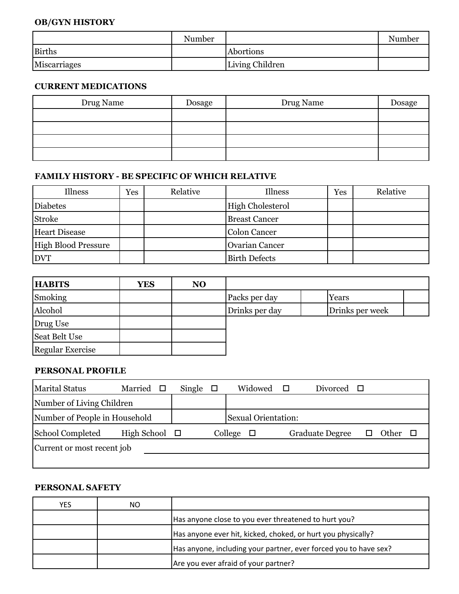## **OB/GYN HISTORY**

|               | Number |                 | Number |
|---------------|--------|-----------------|--------|
| <b>Births</b> |        | Abortions       |        |
| Miscarriages  |        | Living Children |        |

#### **CURRENT MEDICATIONS**

| Drug Name | Dosage | Drug Name | Dosage |
|-----------|--------|-----------|--------|
|           |        |           |        |
|           |        |           |        |
|           |        |           |        |
|           |        |           |        |

### **FAMILY HISTORY - BE SPECIFIC OF WHICH RELATIVE**

| Illness                    | Yes | Relative | Illness                 | Yes | Relative |
|----------------------------|-----|----------|-------------------------|-----|----------|
| Diabetes                   |     |          | <b>High Cholesterol</b> |     |          |
| <b>Stroke</b>              |     |          | <b>Breast Cancer</b>    |     |          |
| <b>Heart Disease</b>       |     |          | Colon Cancer            |     |          |
| <b>High Blood Pressure</b> |     |          | <b>Ovarian Cancer</b>   |     |          |
| <b>DVT</b>                 |     |          | <b>Birth Defects</b>    |     |          |

| <b>HABITS</b>           | <b>YES</b> | NO. |                |                 |
|-------------------------|------------|-----|----------------|-----------------|
| Smoking                 |            |     | Packs per day  | Years           |
| Alcohol                 |            |     | Drinks per day | Drinks per week |
| Drug Use                |            |     |                |                 |
| Seat Belt Use           |            |     |                |                 |
| <b>Regular Exercise</b> |            |     |                |                 |

#### **PERSONAL PROFILE**

| <b>Marital Status</b>         | Married            | Single $\Box$ | Widowed $\square$          | Divorced               | $\Box$ |       |  |
|-------------------------------|--------------------|---------------|----------------------------|------------------------|--------|-------|--|
| Number of Living Children     |                    |               |                            |                        |        |       |  |
| Number of People in Household |                    |               | <b>Sexual Orientation:</b> |                        |        |       |  |
| School Completed              | High School $\Box$ |               | College<br>$\Box$          | <b>Graduate Degree</b> |        | Other |  |
| Current or most recent job    |                    |               |                            |                        |        |       |  |
|                               |                    |               |                            |                        |        |       |  |

## **PERSONAL SAFETY**

| YES | NΟ |                                                                  |
|-----|----|------------------------------------------------------------------|
|     |    | Has anyone close to you ever threatened to hurt you?             |
|     |    | Has anyone ever hit, kicked, choked, or hurt you physically?     |
|     |    | Has anyone, including your partner, ever forced you to have sex? |
|     |    | Are you ever afraid of your partner?                             |